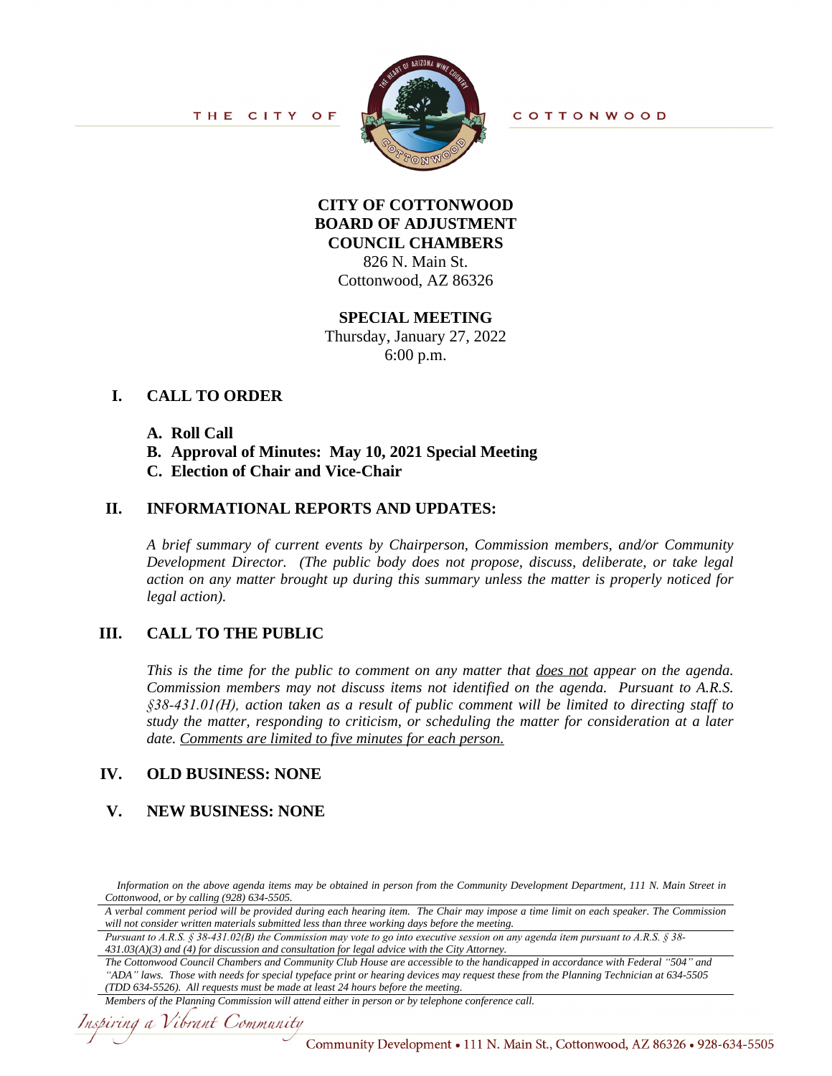

**COTTONWOOD** 

# **CITY OF COTTONWOOD BOARD OF ADJUSTMENT COUNCIL CHAMBERS** 826 N. Main St. Cottonwood, AZ 86326

#### **SPECIAL MEETING**

Thursday, January 27, 2022 6:00 p.m.

# **I. CALL TO ORDER**

#### **A. Roll Call**

- **B. Approval of Minutes: May 10, 2021 Special Meeting**
- **C. Election of Chair and Vice-Chair**

## **II. INFORMATIONAL REPORTS AND UPDATES:**

*A brief summary of current events by Chairperson, Commission members, and/or Community Development Director. (The public body does not propose, discuss, deliberate, or take legal action on any matter brought up during this summary unless the matter is properly noticed for legal action).*

### **III. CALL TO THE PUBLIC**

*This is the time for the public to comment on any matter that does not appear on the agenda. Commission members may not discuss items not identified on the agenda. Pursuant to A.R.S. §38-431.01(H), action taken as a result of public comment will be limited to directing staff to study the matter, responding to criticism, or scheduling the matter for consideration at a later date. Comments are limited to five minutes for each person.*

### **IV. OLD BUSINESS: NONE**

### **V. NEW BUSINESS: NONE**

*Pursuant to A.R.S. § 38-431.02(B) the Commission may vote to go into executive session on any agenda item pursuant to A.R.S. § 38- 431.03(A)(3) and (4) for discussion and consultation for legal advice with the City Attorney.*

*The Cottonwood Council Chambers and Community Club House are accessible to the handicapped in accordance with Federal "504" and "ADA" laws. Those with needs for special typeface print or hearing devices may request these from the Planning Technician at 634-5505 (TDD 634-5526). All requests must be made at least 24 hours before the meeting.*

#### *Members of the Planning Commission will attend either in person or by telephone conference call.*

Inspiring a Vibrant Community

Information on the above agenda items may be obtained in person from the Community Development Department, 111 N. Main Street in *Cottonwood, or by calling (928) 634-5505.*

A verbal comment period will be provided during each hearing item. The Chair may impose a time limit on each speaker. The Commission *will not consider written materials submitted less than three working days before the meeting.*